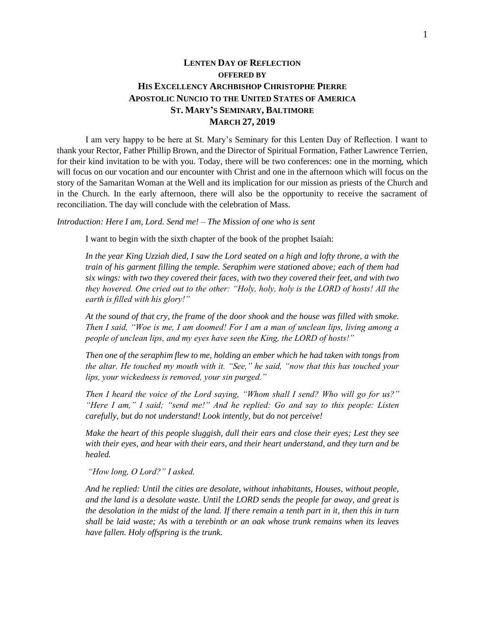# **LENTEN DAY OF REFLECTION OFFERED BY HIS EXCELLENCY ARCHBISHOP CHRISTOPHE PIERRE APOSTOLIC NUNCIO TO THE UNITED STATES OF AMERICA ST. MARY'S SEMINARY, BALTIMORE MARCH 27, 2019**

I am very happy to be here at St. Mary's Seminary for this Lenten Day of Reflection. I want to thank your Rector, Father Phillip Brown, and the Director of Spiritual Formation, Father Lawrence Terrien, for their kind invitation to be with you. Today, there will be two conferences: one in the morning, which will focus on our vocation and our encounter with Christ and one in the afternoon which will focus on the story of the Samaritan Woman at the Well and its implication for our mission as priests of the Church and in the Church. In the early afternoon, there will also be the opportunity to receive the sacrament of reconciliation. The day will conclude with the celebration of Mass.

*Introduction: Here I am, Lord. Send me! – The Mission of one who is sent*

I want to begin with the sixth chapter of the book of the prophet Isaiah:

*In the year King Uzziah died, I saw the Lord seated on a high and lofty throne, a with the train of his garment filling the temple. Seraphim were stationed above; each of them had six wings: with two they covered their faces, with two they covered their feet, and with two they hovered. One cried out to the other: "Holy, holy, holy is the LORD of hosts! All the earth is filled with his glory!"*

*At the sound of that cry, the frame of the door shook and the house was filled with smoke. Then I said, "Woe is me, I am doomed! For I am a man of unclean lips, living among a people of unclean lips, and my eyes have seen the King, the LORD of hosts!"*

*Then one of the seraphim flew to me, holding an ember which he had taken with tongs from the altar. He touched my mouth with it. "See," he said, "now that this has touched your lips, your wickedness is removed, your sin purged."*

*Then I heard the voice of the Lord saying, "Whom shall I send? Who will go for us?" "Here I am," I said; "send me!" And he replied: Go and say to this people: Listen carefully, but do not understand! Look intently, but do not perceive!*

*Make the heart of this people sluggish, dull their ears and close their eyes; Lest they see with their eyes, and hear with their ears, and their heart understand, and they turn and be healed.*

*"How long, O Lord?" I asked.* 

*And he replied: Until the cities are desolate, without inhabitants, Houses, without people, and the land is a desolate waste. Until the LORD sends the people far away, and great is the desolation in the midst of the land. If there remain a tenth part in it, then this in turn shall be laid waste; As with a terebinth or an oak whose trunk remains when its leaves have fallen. Holy offspring is the trunk.*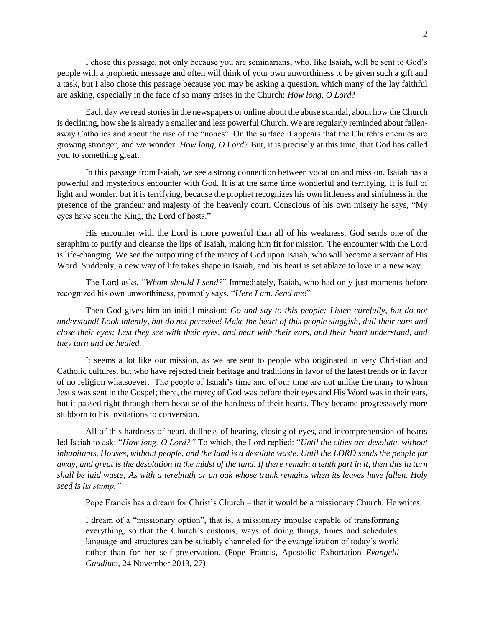I chose this passage, not only because you are seminarians, who, like Isaiah, will be sent to God's people with a prophetic message and often will think of your own unworthiness to be given such a gift and a task, but I also chose this passage because you may be asking a question, which many of the lay faithful are asking, especially in the face of so many crises in the Church: *How long, O Lord*?

Each day we read stories in the newspapers or online about the abuse scandal, about how the Church is declining, how she is already a smaller and less powerful Church. We are regularly reminded about fallenaway Catholics and about the rise of the "nones". On the surface it appears that the Church's enemies are growing stronger, and we wonder: *How long, O Lord?* But, it is precisely at this time, that God has called you to something great.

In this passage from Isaiah, we see a strong connection between vocation and mission. Isaiah has a powerful and mysterious encounter with God. It is at the same time wonderful and terrifying. It is full of light and wonder, but it is terrifying, because the prophet recognizes his own littleness and sinfulness in the presence of the grandeur and majesty of the heavenly court. Conscious of his own misery he says, "My eyes have seen the King, the Lord of hosts."

His encounter with the Lord is more powerful than all of his weakness. God sends one of the seraphim to purify and cleanse the lips of Isaiah, making him fit for mission. The encounter with the Lord is life-changing. We see the outpouring of the mercy of God upon Isaiah, who will become a servant of His Word. Suddenly, a new way of life takes shape in Isaiah, and his heart is set ablaze to love in a new way.

The Lord asks, "*Whom should I send?*" Immediately, Isaiah, who had only just moments before recognized his own unworthiness, promptly says, "*Here I am. Send me!*"

Then God gives him an initial mission: *Go and say to this people: Listen carefully, but do not understand! Look intently, but do not perceive! Make the heart of this people sluggish, dull their ears and close their eyes; Lest they see with their eyes, and hear with their ears, and their heart understand, and they turn and be healed.*

It seems a lot like our mission, as we are sent to people who originated in very Christian and Catholic cultures, but who have rejected their heritage and traditions in favor of the latest trends or in favor of no religion whatsoever. The people of Isaiah's time and of our time are not unlike the many to whom Jesus was sent in the Gospel; there, the mercy of God was before their eyes and His Word was in their ears, but it passed right through them because of the hardness of their hearts. They became progressively more stubborn to his invitations to conversion.

All of this hardness of heart, dullness of hearing, closing of eyes, and incomprehension of hearts led Isaiah to ask: "*How long, O Lord?"* To which, the Lord replied: "*Until the cities are desolate, without inhabitants, Houses, without people, and the land is a desolate waste. Until the LORD sends the people far away, and great is the desolation in the midst of the land. If there remain a tenth part in it, then this in turn shall be laid waste; As with a terebinth or an oak whose trunk remains when its leaves have fallen. Holy seed is its stump."* 

Pope Francis has a dream for Christ's Church – that it would be a missionary Church. He writes:

I dream of a "missionary option", that is, a missionary impulse capable of transforming everything, so that the Church's customs, ways of doing things, times and schedules, language and structures can be suitably channeled for the evangelization of today's world rather than for her self-preservation. (Pope Francis, Apostolic Exhortation *Evangelii Gaudium*, 24 November 2013, 27)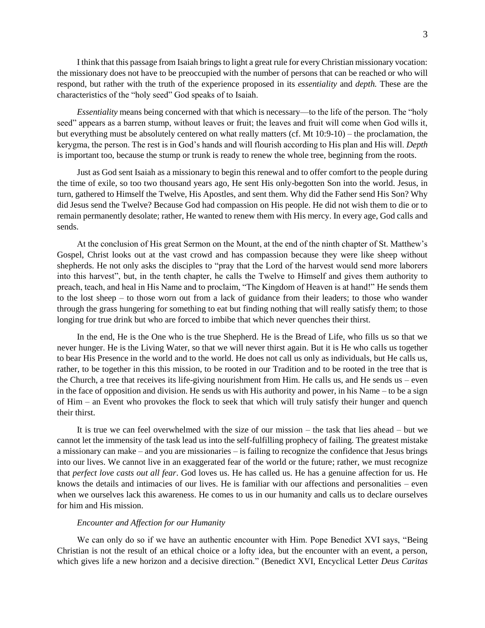I think that this passage from Isaiah brings to light a great rule for every Christian missionary vocation: the missionary does not have to be preoccupied with the number of persons that can be reached or who will respond, but rather with the truth of the experience proposed in its *essentiality* and *depth.* These are the characteristics of the "holy seed" God speaks of to Isaiah.

*Essentiality* means being concerned with that which is necessary—to the life of the person. The "holy seed" appears as a barren stump, without leaves or fruit; the leaves and fruit will come when God wills it, but everything must be absolutely centered on what really matters (cf. Mt 10:9-10) – the proclamation, the kerygma, the person. The rest is in God's hands and will flourish according to His plan and His will. *Depth*  is important too, because the stump or trunk is ready to renew the whole tree, beginning from the roots.

Just as God sent Isaiah as a missionary to begin this renewal and to offer comfort to the people during the time of exile, so too two thousand years ago, He sent His only-begotten Son into the world. Jesus, in turn, gathered to Himself the Twelve, His Apostles, and sent them. Why did the Father send His Son? Why did Jesus send the Twelve? Because God had compassion on His people. He did not wish them to die or to remain permanently desolate; rather, He wanted to renew them with His mercy. In every age, God calls and sends.

At the conclusion of His great Sermon on the Mount, at the end of the ninth chapter of St. Matthew's Gospel, Christ looks out at the vast crowd and has compassion because they were like sheep without shepherds. He not only asks the disciples to "pray that the Lord of the harvest would send more laborers into this harvest", but, in the tenth chapter, he calls the Twelve to Himself and gives them authority to preach, teach, and heal in His Name and to proclaim, "The Kingdom of Heaven is at hand!" He sends them to the lost sheep – to those worn out from a lack of guidance from their leaders; to those who wander through the grass hungering for something to eat but finding nothing that will really satisfy them; to those longing for true drink but who are forced to imbibe that which never quenches their thirst.

In the end, He is the One who is the true Shepherd. He is the Bread of Life, who fills us so that we never hunger. He is the Living Water, so that we will never thirst again. But it is He who calls us together to bear His Presence in the world and to the world. He does not call us only as individuals, but He calls us, rather, to be together in this this mission, to be rooted in our Tradition and to be rooted in the tree that is the Church, a tree that receives its life-giving nourishment from Him. He calls us, and He sends us – even in the face of opposition and division. He sends us with His authority and power, in his Name – to be a sign of Him – an Event who provokes the flock to seek that which will truly satisfy their hunger and quench their thirst.

It is true we can feel overwhelmed with the size of our mission – the task that lies ahead – but we cannot let the immensity of the task lead us into the self-fulfilling prophecy of failing. The greatest mistake a missionary can make – and you are missionaries – is failing to recognize the confidence that Jesus brings into our lives. We cannot live in an exaggerated fear of the world or the future; rather, we must recognize that *perfect love casts out all fear*. God loves us. He has called us. He has a genuine affection for us. He knows the details and intimacies of our lives. He is familiar with our affections and personalities – even when we ourselves lack this awareness. He comes to us in our humanity and calls us to declare ourselves for him and His mission.

## *Encounter and Affection for our Humanity*

We can only do so if we have an authentic encounter with Him. Pope Benedict XVI says, "Being Christian is not the result of an ethical choice or a lofty idea, but the encounter with an event, a person, which gives life a new horizon and a decisive direction." (Benedict XVI, Encyclical Letter *Deus Caritas*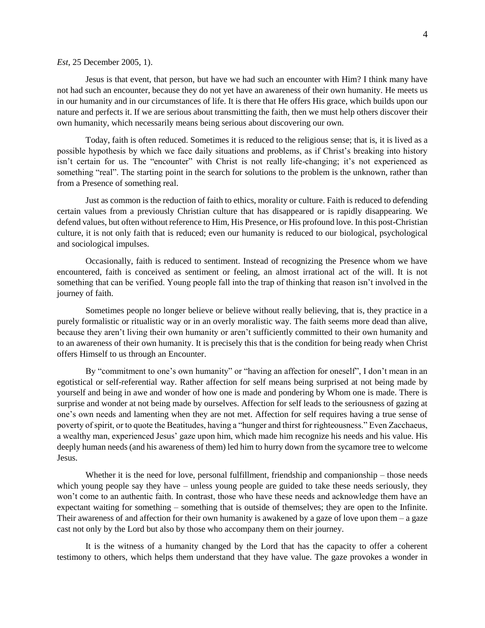#### *Est*, 25 December 2005, 1).

Jesus is that event, that person, but have we had such an encounter with Him? I think many have not had such an encounter, because they do not yet have an awareness of their own humanity. He meets us in our humanity and in our circumstances of life. It is there that He offers His grace, which builds upon our nature and perfects it. If we are serious about transmitting the faith, then we must help others discover their own humanity, which necessarily means being serious about discovering our own.

Today, faith is often reduced. Sometimes it is reduced to the religious sense; that is, it is lived as a possible hypothesis by which we face daily situations and problems, as if Christ's breaking into history isn't certain for us. The "encounter" with Christ is not really life-changing; it's not experienced as something "real". The starting point in the search for solutions to the problem is the unknown, rather than from a Presence of something real.

Just as common is the reduction of faith to ethics, morality or culture. Faith is reduced to defending certain values from a previously Christian culture that has disappeared or is rapidly disappearing. We defend values, but often without reference to Him, His Presence, or His profound love. In this post-Christian culture, it is not only faith that is reduced; even our humanity is reduced to our biological, psychological and sociological impulses.

Occasionally, faith is reduced to sentiment. Instead of recognizing the Presence whom we have encountered, faith is conceived as sentiment or feeling, an almost irrational act of the will. It is not something that can be verified. Young people fall into the trap of thinking that reason isn't involved in the journey of faith.

Sometimes people no longer believe or believe without really believing, that is, they practice in a purely formalistic or ritualistic way or in an overly moralistic way. The faith seems more dead than alive, because they aren't living their own humanity or aren't sufficiently committed to their own humanity and to an awareness of their own humanity. It is precisely this that is the condition for being ready when Christ offers Himself to us through an Encounter.

By "commitment to one's own humanity" or "having an affection for oneself", I don't mean in an egotistical or self-referential way. Rather affection for self means being surprised at not being made by yourself and being in awe and wonder of how one is made and pondering by Whom one is made. There is surprise and wonder at not being made by ourselves. Affection for self leads to the seriousness of gazing at one's own needs and lamenting when they are not met. Affection for self requires having a true sense of poverty of spirit, or to quote the Beatitudes, having a "hunger and thirst for righteousness." Even Zacchaeus, a wealthy man, experienced Jesus' gaze upon him, which made him recognize his needs and his value. His deeply human needs (and his awareness of them) led him to hurry down from the sycamore tree to welcome Jesus.

Whether it is the need for love, personal fulfillment, friendship and companionship – those needs which young people say they have – unless young people are guided to take these needs seriously, they won't come to an authentic faith. In contrast, those who have these needs and acknowledge them have an expectant waiting for something – something that is outside of themselves; they are open to the Infinite. Their awareness of and affection for their own humanity is awakened by a gaze of love upon them  $-$  a gaze cast not only by the Lord but also by those who accompany them on their journey.

It is the witness of a humanity changed by the Lord that has the capacity to offer a coherent testimony to others, which helps them understand that they have value. The gaze provokes a wonder in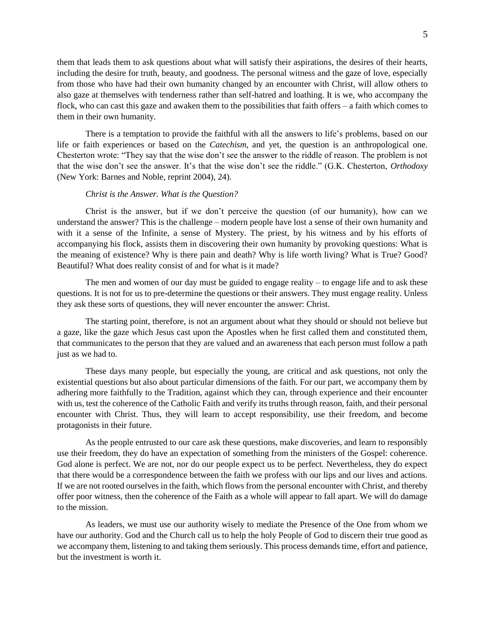them that leads them to ask questions about what will satisfy their aspirations, the desires of their hearts, including the desire for truth, beauty, and goodness. The personal witness and the gaze of love, especially from those who have had their own humanity changed by an encounter with Christ, will allow others to also gaze at themselves with tenderness rather than self-hatred and loathing. It is we, who accompany the flock, who can cast this gaze and awaken them to the possibilities that faith offers – a faith which comes to them in their own humanity.

There is a temptation to provide the faithful with all the answers to life's problems, based on our life or faith experiences or based on the *Catechism*, and yet, the question is an anthropological one. Chesterton wrote: "They say that the wise don't see the answer to the riddle of reason. The problem is not that the wise don't see the answer. It's that the wise don't see the riddle." (G.K. Chesterton, *Orthodoxy* (New York: Barnes and Noble, reprint 2004), 24).

### *Christ is the Answer. What is the Question?*

Christ is the answer, but if we don't perceive the question (of our humanity), how can we understand the answer? This is the challenge – modern people have lost a sense of their own humanity and with it a sense of the Infinite, a sense of Mystery. The priest, by his witness and by his efforts of accompanying his flock, assists them in discovering their own humanity by provoking questions: What is the meaning of existence? Why is there pain and death? Why is life worth living? What is True? Good? Beautiful? What does reality consist of and for what is it made?

The men and women of our day must be guided to engage reality  $-$  to engage life and to ask these questions. It is not for us to pre-determine the questions or their answers. They must engage reality. Unless they ask these sorts of questions, they will never encounter the answer: Christ.

The starting point, therefore, is not an argument about what they should or should not believe but a gaze, like the gaze which Jesus cast upon the Apostles when he first called them and constituted them, that communicates to the person that they are valued and an awareness that each person must follow a path just as we had to.

These days many people, but especially the young, are critical and ask questions, not only the existential questions but also about particular dimensions of the faith. For our part, we accompany them by adhering more faithfully to the Tradition, against which they can, through experience and their encounter with us, test the coherence of the Catholic Faith and verify its truths through reason, faith, and their personal encounter with Christ. Thus, they will learn to accept responsibility, use their freedom, and become protagonists in their future.

As the people entrusted to our care ask these questions, make discoveries, and learn to responsibly use their freedom, they do have an expectation of something from the ministers of the Gospel: coherence. God alone is perfect. We are not, nor do our people expect us to be perfect. Nevertheless, they do expect that there would be a correspondence between the faith we profess with our lips and our lives and actions. If we are not rooted ourselves in the faith, which flows from the personal encounter with Christ, and thereby offer poor witness, then the coherence of the Faith as a whole will appear to fall apart. We will do damage to the mission.

As leaders, we must use our authority wisely to mediate the Presence of the One from whom we have our authority. God and the Church call us to help the holy People of God to discern their true good as we accompany them, listening to and taking them seriously. This process demands time, effort and patience, but the investment is worth it.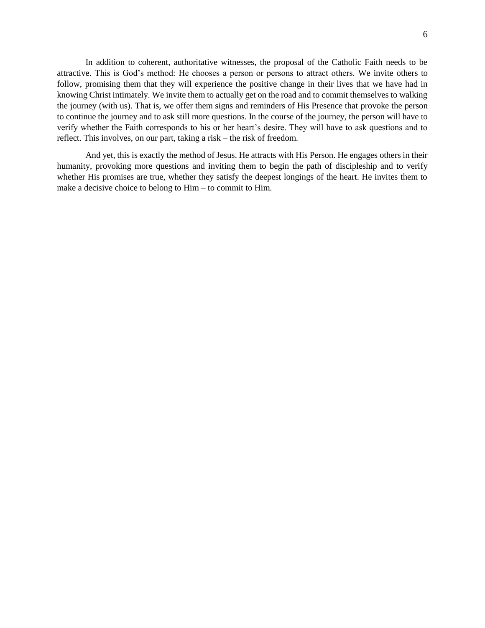In addition to coherent, authoritative witnesses, the proposal of the Catholic Faith needs to be attractive. This is God's method: He chooses a person or persons to attract others. We invite others to follow, promising them that they will experience the positive change in their lives that we have had in knowing Christ intimately. We invite them to actually get on the road and to commit themselves to walking the journey (with us). That is, we offer them signs and reminders of His Presence that provoke the person to continue the journey and to ask still more questions. In the course of the journey, the person will have to verify whether the Faith corresponds to his or her heart's desire. They will have to ask questions and to reflect. This involves, on our part, taking a risk – the risk of freedom.

And yet, this is exactly the method of Jesus. He attracts with His Person. He engages others in their humanity, provoking more questions and inviting them to begin the path of discipleship and to verify whether His promises are true, whether they satisfy the deepest longings of the heart. He invites them to make a decisive choice to belong to Him – to commit to Him.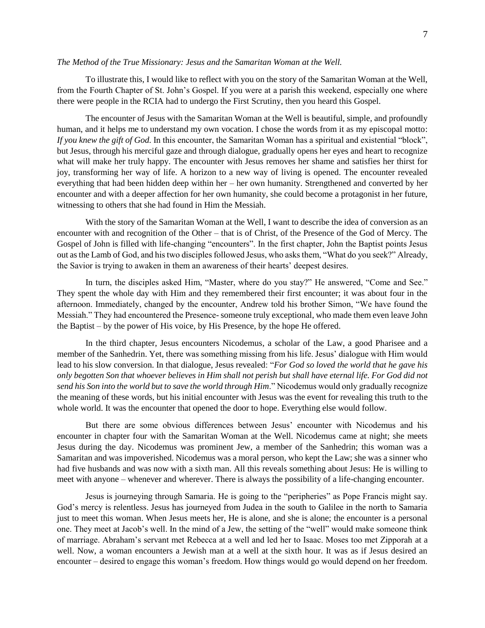### *The Method of the True Missionary: Jesus and the Samaritan Woman at the Well.*

To illustrate this, I would like to reflect with you on the story of the Samaritan Woman at the Well, from the Fourth Chapter of St. John's Gospel. If you were at a parish this weekend, especially one where there were people in the RCIA had to undergo the First Scrutiny, then you heard this Gospel.

The encounter of Jesus with the Samaritan Woman at the Well is beautiful, simple, and profoundly human, and it helps me to understand my own vocation. I chose the words from it as my episcopal motto: *If you knew the gift of God.* In this encounter, the Samaritan Woman has a spiritual and existential "block", but Jesus, through his merciful gaze and through dialogue, gradually opens her eyes and heart to recognize what will make her truly happy. The encounter with Jesus removes her shame and satisfies her thirst for joy, transforming her way of life. A horizon to a new way of living is opened. The encounter revealed everything that had been hidden deep within her – her own humanity. Strengthened and converted by her encounter and with a deeper affection for her own humanity, she could become a protagonist in her future, witnessing to others that she had found in Him the Messiah.

With the story of the Samaritan Woman at the Well, I want to describe the idea of conversion as an encounter with and recognition of the Other – that is of Christ, of the Presence of the God of Mercy. The Gospel of John is filled with life-changing "encounters". In the first chapter, John the Baptist points Jesus out as the Lamb of God, and his two disciples followed Jesus, who asks them, "What do you seek?" Already, the Savior is trying to awaken in them an awareness of their hearts' deepest desires.

In turn, the disciples asked Him, "Master, where do you stay?" He answered, "Come and See." They spent the whole day with Him and they remembered their first encounter; it was about four in the afternoon. Immediately, changed by the encounter, Andrew told his brother Simon, "We have found the Messiah." They had encountered the Presence-someone truly exceptional, who made them even leave John the Baptist – by the power of His voice, by His Presence, by the hope He offered.

In the third chapter, Jesus encounters Nicodemus, a scholar of the Law, a good Pharisee and a member of the Sanhedrin. Yet, there was something missing from his life. Jesus' dialogue with Him would lead to his slow conversion. In that dialogue, Jesus revealed: "*For God so loved the world that he gave his only begotten Son that whoever believes in Him shall not perish but shall have eternal life. For God did not send his Son into the world but to save the world through Him*." Nicodemus would only gradually recognize the meaning of these words, but his initial encounter with Jesus was the event for revealing this truth to the whole world. It was the encounter that opened the door to hope. Everything else would follow.

But there are some obvious differences between Jesus' encounter with Nicodemus and his encounter in chapter four with the Samaritan Woman at the Well. Nicodemus came at night; she meets Jesus during the day. Nicodemus was prominent Jew, a member of the Sanhedrin; this woman was a Samaritan and was impoverished. Nicodemus was a moral person, who kept the Law; she was a sinner who had five husbands and was now with a sixth man. All this reveals something about Jesus: He is willing to meet with anyone – whenever and wherever. There is always the possibility of a life-changing encounter.

Jesus is journeying through Samaria. He is going to the "peripheries" as Pope Francis might say. God's mercy is relentless. Jesus has journeyed from Judea in the south to Galilee in the north to Samaria just to meet this woman. When Jesus meets her, He is alone, and she is alone; the encounter is a personal one. They meet at Jacob's well. In the mind of a Jew, the setting of the "well" would make someone think of marriage. Abraham's servant met Rebecca at a well and led her to Isaac. Moses too met Zipporah at a well. Now, a woman encounters a Jewish man at a well at the sixth hour. It was as if Jesus desired an encounter – desired to engage this woman's freedom. How things would go would depend on her freedom.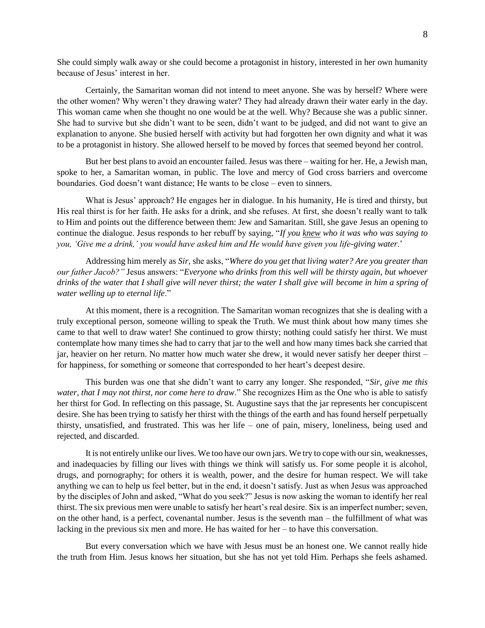She could simply walk away or she could become a protagonist in history, interested in her own humanity because of Jesus' interest in her.

Certainly, the Samaritan woman did not intend to meet anyone. She was by herself? Where were the other women? Why weren't they drawing water? They had already drawn their water early in the day. This woman came when she thought no one would be at the well. Why? Because she was a public sinner. She had to survive but she didn't want to be seen, didn't want to be judged, and did not want to give an explanation to anyone. She busied herself with activity but had forgotten her own dignity and what it was to be a protagonist in history. She allowed herself to be moved by forces that seemed beyond her control.

But her best plans to avoid an encounter failed. Jesus was there – waiting for her. He, a Jewish man, spoke to her, a Samaritan woman, in public. The love and mercy of God cross barriers and overcome boundaries. God doesn't want distance; He wants to be close – even to sinners.

What is Jesus' approach? He engages her in dialogue. In his humanity, He is tired and thirsty, but His real thirst is for her faith. He asks for a drink, and she refuses. At first, she doesn't really want to talk to Him and points out the difference between them: Jew and Samaritan. Still, she gave Jesus an opening to continue the dialogue. Jesus responds to her rebuff by saying, "*If you knew who it was who was saying to you, 'Give me a drink,' you would have asked him and He would have given you life-giving water*.'

Addressing him merely as *Sir*, she asks, "*Where do you get that living water? Are you greater than our father Jacob?"* Jesus answers: "*Everyone who drinks from this well will be thirsty again, but whoever drinks of the water that I shall give will never thirst; the water I shall give will become in him a spring of water welling up to eternal life*."

At this moment, there is a recognition. The Samaritan woman recognizes that she is dealing with a truly exceptional person, someone willing to speak the Truth. We must think about how many times she came to that well to draw water! She continued to grow thirsty; nothing could satisfy her thirst. We must contemplate how many times she had to carry that jar to the well and how many times back she carried that jar, heavier on her return. No matter how much water she drew, it would never satisfy her deeper thirst – for happiness, for something or someone that corresponded to her heart's deepest desire.

This burden was one that she didn't want to carry any longer. She responded, "*Sir, give me this water, that I may not thirst, nor come here to draw*." She recognizes Him as the One who is able to satisfy her thirst for God. In reflecting on this passage, St. Augustine says that the jar represents her concupiscent desire. She has been trying to satisfy her thirst with the things of the earth and has found herself perpetually thirsty, unsatisfied, and frustrated. This was her life – one of pain, misery, loneliness, being used and rejected, and discarded.

It is not entirely unlike our lives. We too have our own jars. We try to cope with our sin, weaknesses, and inadequacies by filling our lives with things we think will satisfy us. For some people it is alcohol, drugs, and pornography; for others it is wealth, power, and the desire for human respect. We will take anything we can to help us feel better, but in the end, it doesn't satisfy. Just as when Jesus was approached by the disciples of John and asked, "What do you seek?" Jesus is now asking the woman to identify her real thirst. The six previous men were unable to satisfy her heart's real desire. Six is an imperfect number; seven, on the other hand, is a perfect, covenantal number. Jesus is the seventh man – the fulfillment of what was lacking in the previous six men and more. He has waited for her – to have this conversation.

But every conversation which we have with Jesus must be an honest one. We cannot really hide the truth from Him. Jesus knows her situation, but she has not yet told Him. Perhaps she feels ashamed.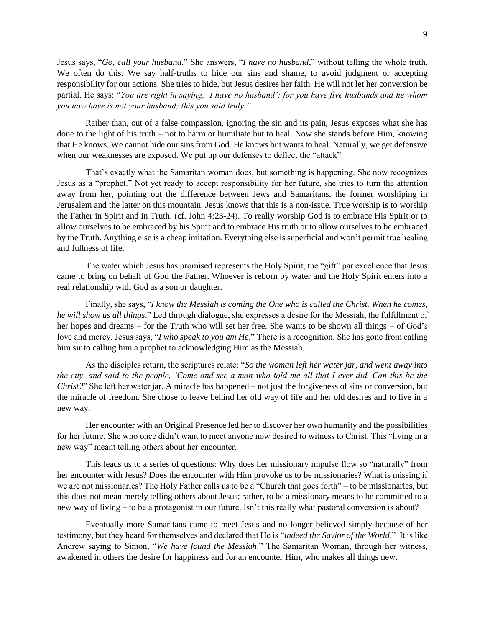Jesus says, "*Go, call your husband*." She answers, "*I have no husband*," without telling the whole truth. We often do this. We say half-truths to hide our sins and shame, to avoid judgment or accepting responsibility for our actions. She tries to hide, but Jesus desires her faith. He will not let her conversion be partial. He says: "*You are right in saying, 'I have no husband'; for you have five husbands and he whom you now have is not your husband; this you said truly."*

Rather than, out of a false compassion, ignoring the sin and its pain, Jesus exposes what she has done to the light of his truth – not to harm or humiliate but to heal. Now she stands before Him, knowing that He knows. We cannot hide our sins from God. He knows but wants to heal. Naturally, we get defensive when our weaknesses are exposed. We put up our defenses to deflect the "attack".

That's exactly what the Samaritan woman does, but something is happening. She now recognizes Jesus as a "prophet." Not yet ready to accept responsibility for her future, she tries to turn the attention away from her, pointing out the difference between Jews and Samaritans, the former worshiping in Jerusalem and the latter on this mountain. Jesus knows that this is a non-issue. True worship is to worship the Father in Spirit and in Truth. (cf. John 4:23-24). To really worship God is to embrace His Spirit or to allow ourselves to be embraced by his Spirit and to embrace His truth or to allow ourselves to be embraced by the Truth. Anything else is a cheap imitation. Everything else is superficial and won't permit true healing and fullness of life.

The water which Jesus has promised represents the Holy Spirit, the "gift" par excellence that Jesus came to bring on behalf of God the Father. Whoever is reborn by water and the Holy Spirit enters into a real relationship with God as a son or daughter.

Finally, she says, "*I know the Messiah is coming the One who is called the Christ. When he comes, he will show us all things*." Led through dialogue, she expresses a desire for the Messiah, the fulfillment of her hopes and dreams – for the Truth who will set her free. She wants to be shown all things – of God's love and mercy. Jesus says, "*I who speak to you am He*." There is a recognition. She has gone from calling him sir to calling him a prophet to acknowledging Him as the Messiah.

As the disciples return, the scriptures relate: "*So the woman left her water jar, and went away into the city, and said to the people, 'Come and see a man who told me all that I ever did. Can this be the Christ?*" She left her water jar. A miracle has happened – not just the forgiveness of sins or conversion, but the miracle of freedom. She chose to leave behind her old way of life and her old desires and to live in a new way.

Her encounter with an Original Presence led her to discover her own humanity and the possibilities for her future. She who once didn't want to meet anyone now desired to witness to Christ. This "living in a new way" meant telling others about her encounter.

This leads us to a series of questions: Why does her missionary impulse flow so "naturally" from her encounter with Jesus? Does the encounter with Him provoke us to be missionaries? What is missing if we are not missionaries? The Holy Father calls us to be a "Church that goes forth" – to be missionaries, but this does not mean merely telling others about Jesus; rather, to be a missionary means to be committed to a new way of living – to be a protagonist in our future. Isn't this really what pastoral conversion is about?

Eventually more Samaritans came to meet Jesus and no longer believed simply because of her testimony, but they heard for themselves and declared that He is "*indeed the Savior of the World*." It is like Andrew saying to Simon, "*We have found the Messiah*." The Samaritan Woman, through her witness, awakened in others the desire for happiness and for an encounter Him, who makes all things new.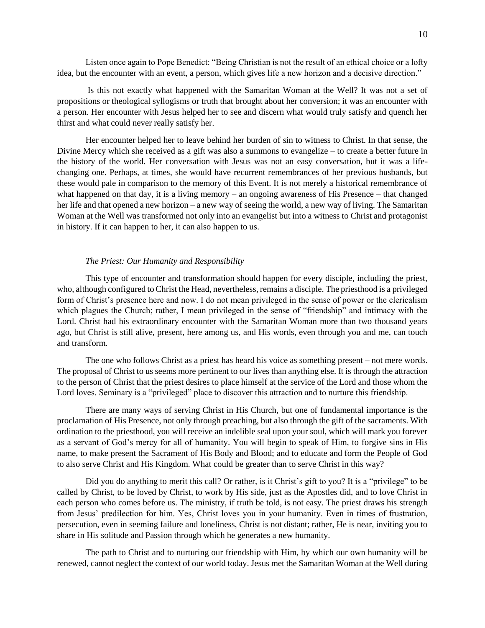Listen once again to Pope Benedict: "Being Christian is not the result of an ethical choice or a lofty idea, but the encounter with an event, a person, which gives life a new horizon and a decisive direction."

Is this not exactly what happened with the Samaritan Woman at the Well? It was not a set of propositions or theological syllogisms or truth that brought about her conversion; it was an encounter with a person. Her encounter with Jesus helped her to see and discern what would truly satisfy and quench her thirst and what could never really satisfy her.

Her encounter helped her to leave behind her burden of sin to witness to Christ. In that sense, the Divine Mercy which she received as a gift was also a summons to evangelize – to create a better future in the history of the world. Her conversation with Jesus was not an easy conversation, but it was a lifechanging one. Perhaps, at times, she would have recurrent remembrances of her previous husbands, but these would pale in comparison to the memory of this Event. It is not merely a historical remembrance of what happened on that day, it is a living memory – an ongoing awareness of His Presence – that changed her life and that opened a new horizon – a new way of seeing the world, a new way of living. The Samaritan Woman at the Well was transformed not only into an evangelist but into a witness to Christ and protagonist in history. If it can happen to her, it can also happen to us.

## *The Priest: Our Humanity and Responsibility*

This type of encounter and transformation should happen for every disciple, including the priest, who, although configured to Christ the Head, nevertheless, remains a disciple. The priesthood is a privileged form of Christ's presence here and now. I do not mean privileged in the sense of power or the clericalism which plagues the Church; rather, I mean privileged in the sense of "friendship" and intimacy with the Lord. Christ had his extraordinary encounter with the Samaritan Woman more than two thousand years ago, but Christ is still alive, present, here among us, and His words, even through you and me, can touch and transform.

The one who follows Christ as a priest has heard his voice as something present – not mere words. The proposal of Christ to us seems more pertinent to our lives than anything else. It is through the attraction to the person of Christ that the priest desires to place himself at the service of the Lord and those whom the Lord loves. Seminary is a "privileged" place to discover this attraction and to nurture this friendship.

There are many ways of serving Christ in His Church, but one of fundamental importance is the proclamation of His Presence, not only through preaching, but also through the gift of the sacraments. With ordination to the priesthood, you will receive an indelible seal upon your soul, which will mark you forever as a servant of God's mercy for all of humanity. You will begin to speak of Him, to forgive sins in His name, to make present the Sacrament of His Body and Blood; and to educate and form the People of God to also serve Christ and His Kingdom. What could be greater than to serve Christ in this way?

Did you do anything to merit this call? Or rather, is it Christ's gift to you? It is a "privilege" to be called by Christ, to be loved by Christ, to work by His side, just as the Apostles did, and to love Christ in each person who comes before us. The ministry, if truth be told, is not easy. The priest draws his strength from Jesus' predilection for him. Yes, Christ loves you in your humanity. Even in times of frustration, persecution, even in seeming failure and loneliness, Christ is not distant; rather, He is near, inviting you to share in His solitude and Passion through which he generates a new humanity.

The path to Christ and to nurturing our friendship with Him, by which our own humanity will be renewed, cannot neglect the context of our world today. Jesus met the Samaritan Woman at the Well during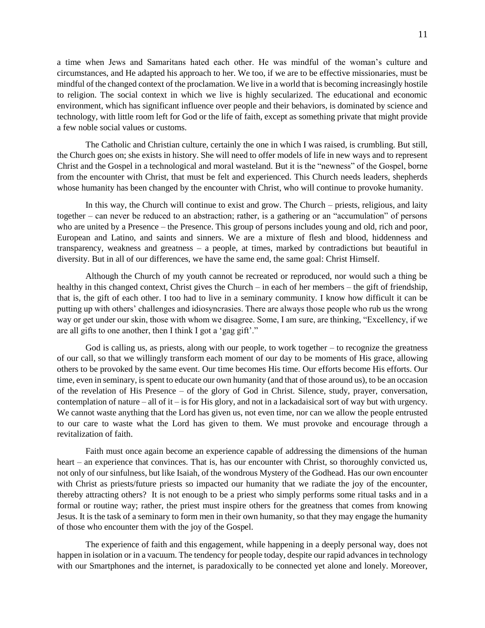a time when Jews and Samaritans hated each other. He was mindful of the woman's culture and circumstances, and He adapted his approach to her. We too, if we are to be effective missionaries, must be mindful of the changed context of the proclamation. We live in a world that is becoming increasingly hostile to religion. The social context in which we live is highly secularized. The educational and economic environment, which has significant influence over people and their behaviors, is dominated by science and technology, with little room left for God or the life of faith, except as something private that might provide a few noble social values or customs.

The Catholic and Christian culture, certainly the one in which I was raised, is crumbling. But still, the Church goes on; she exists in history. She will need to offer models of life in new ways and to represent Christ and the Gospel in a technological and moral wasteland. But it is the "newness" of the Gospel, borne from the encounter with Christ, that must be felt and experienced. This Church needs leaders, shepherds whose humanity has been changed by the encounter with Christ, who will continue to provoke humanity.

In this way, the Church will continue to exist and grow. The Church – priests, religious, and laity together – can never be reduced to an abstraction; rather, is a gathering or an "accumulation" of persons who are united by a Presence – the Presence. This group of persons includes young and old, rich and poor, European and Latino, and saints and sinners. We are a mixture of flesh and blood, hiddenness and transparency, weakness and greatness – a people, at times, marked by contradictions but beautiful in diversity. But in all of our differences, we have the same end, the same goal: Christ Himself.

Although the Church of my youth cannot be recreated or reproduced, nor would such a thing be healthy in this changed context, Christ gives the Church – in each of her members – the gift of friendship, that is, the gift of each other. I too had to live in a seminary community. I know how difficult it can be putting up with others' challenges and idiosyncrasies. There are always those people who rub us the wrong way or get under our skin, those with whom we disagree. Some, I am sure, are thinking, "Excellency, if we are all gifts to one another, then I think I got a 'gag gift'."

God is calling us, as priests, along with our people, to work together – to recognize the greatness of our call, so that we willingly transform each moment of our day to be moments of His grace, allowing others to be provoked by the same event. Our time becomes His time. Our efforts become His efforts. Our time, even in seminary, is spent to educate our own humanity (and that of those around us), to be an occasion of the revelation of His Presence – of the glory of God in Christ. Silence, study, prayer, conversation, contemplation of nature – all of it – is for His glory, and not in a lackadaisical sort of way but with urgency. We cannot waste anything that the Lord has given us, not even time, nor can we allow the people entrusted to our care to waste what the Lord has given to them. We must provoke and encourage through a revitalization of faith.

Faith must once again become an experience capable of addressing the dimensions of the human heart – an experience that convinces. That is, has our encounter with Christ, so thoroughly convicted us, not only of our sinfulness, but like Isaiah, of the wondrous Mystery of the Godhead. Has our own encounter with Christ as priests/future priests so impacted our humanity that we radiate the joy of the encounter, thereby attracting others? It is not enough to be a priest who simply performs some ritual tasks and in a formal or routine way; rather, the priest must inspire others for the greatness that comes from knowing Jesus. It is the task of a seminary to form men in their own humanity, so that they may engage the humanity of those who encounter them with the joy of the Gospel.

The experience of faith and this engagement, while happening in a deeply personal way, does not happen in isolation or in a vacuum. The tendency for people today, despite our rapid advances in technology with our Smartphones and the internet, is paradoxically to be connected yet alone and lonely. Moreover,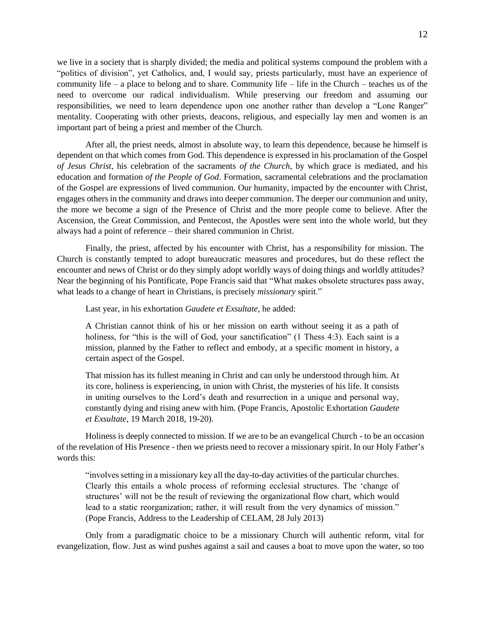we live in a society that is sharply divided; the media and political systems compound the problem with a "politics of division", yet Catholics, and, I would say, priests particularly, must have an experience of community life – a place to belong and to share. Community life – life in the Church – teaches us of the need to overcome our radical individualism. While preserving our freedom and assuming our responsibilities, we need to learn dependence upon one another rather than develop a "Lone Ranger" mentality. Cooperating with other priests, deacons, religious, and especially lay men and women is an important part of being a priest and member of the Church.

After all, the priest needs, almost in absolute way, to learn this dependence, because he himself is dependent on that which comes from God. This dependence is expressed in his proclamation of the Gospel *of Jesus Christ*, his celebration of the sacraments *of the Church*, by which grace is mediated, and his education and formation *of the People of God*. Formation, sacramental celebrations and the proclamation of the Gospel are expressions of lived communion. Our humanity, impacted by the encounter with Christ, engages others in the community and draws into deeper communion. The deeper our communion and unity, the more we become a sign of the Presence of Christ and the more people come to believe. After the Ascension, the Great Commission, and Pentecost, the Apostles were sent into the whole world, but they always had a point of reference – their shared communion in Christ.

Finally, the priest, affected by his encounter with Christ, has a responsibility for mission. The Church is constantly tempted to adopt bureaucratic measures and procedures, but do these reflect the encounter and news of Christ or do they simply adopt worldly ways of doing things and worldly attitudes? Near the beginning of his Pontificate, Pope Francis said that "What makes obsolete structures pass away, what leads to a change of heart in Christians, is precisely *missionary* spirit."

Last year, in his exhortation *Gaudete et Exsultate,* he added:

A Christian cannot think of his or her mission on earth without seeing it as a path of holiness, for "this is the will of God, your sanctification" (1 Thess 4:3). Each saint is a mission, planned by the Father to reflect and embody, at a specific moment in history, a certain aspect of the Gospel.

That mission has its fullest meaning in Christ and can only be understood through him. At its core, holiness is experiencing, in union with Christ, the mysteries of his life. It consists in uniting ourselves to the Lord's death and resurrection in a unique and personal way, constantly dying and rising anew with him. (Pope Francis, Apostolic Exhortation *Gaudete et Exsultate*, 19 March 2018, 19-20).

Holiness is deeply connected to mission. If we are to be an evangelical Church - to be an occasion of the revelation of His Presence - then we priests need to recover a missionary spirit. In our Holy Father's words this:

"involves setting in a missionary key all the day-to-day activities of the particular churches. Clearly this entails a whole process of reforming ecclesial structures. The 'change of structures' will not be the result of reviewing the organizational flow chart, which would lead to a static reorganization; rather, it will result from the very dynamics of mission." (Pope Francis, Address to the Leadership of CELAM, 28 July 2013)

Only from a paradigmatic choice to be a missionary Church will authentic reform, vital for evangelization, flow. Just as wind pushes against a sail and causes a boat to move upon the water, so too